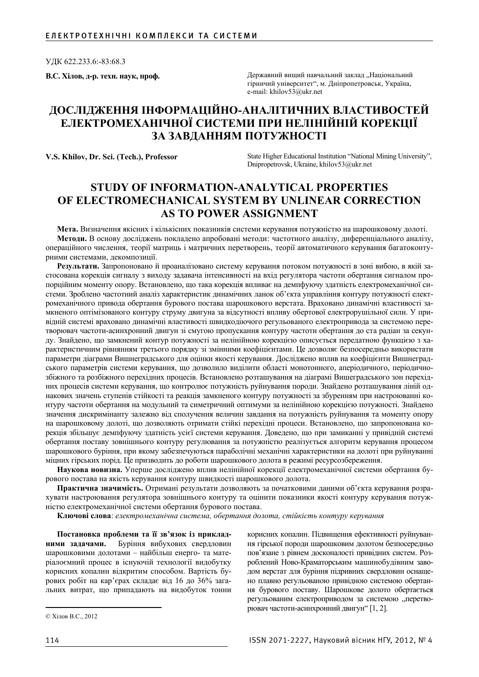ɍȾɄ 622.233.6:-83:68.3

В.С. Хілов, д-р. техн. наук, проф. **В.** Вилов, державний вищий навчальний заклад "Національний гірничий університет", м. Дніпропетровськ, Україна, e-mail: khilov53@ukr.net

## ДОСЛІДЖЕННЯ ІНФОРМАЦІЙНО-АНАЛІТИЧНИХ ВЛАСТИВОСТЕЙ **ЕЛЕКТРОМЕХАНІЧНОЇ СИСТЕМИ ПРИ НЕЛІНІЙНІЙ КОРЕКЦІЇ** ЗА ЗАВДАННЯМ ПОТУЖНОСТІ

V.S. Khilov, Dr. Sci. (Tech.), Professor **State Higher Educational Institution** "National Mining University", Dnipropetrovsk, Ukraine, khilov53@ukr.net

## **STUDY OF INFORMATION-ANALYTICAL PROPERTIES OF ELECTROMECHANICAL SYSTEM BY UNLINEAR CORRECTION AS TO POWER ASSIGNMENT**

Мета. Визначення якісних і кількісних показників системи керування потужністю на шарошковому долоті. **Методи.** В основу досліджень покладено апробовані методи: частотного аналізу, диференціального аналізу, операційного числення, теорії матриць і матричних перетворень, теорії автоматичного керування багатоконтурними системами, декомпозиції.

Результати. Запропоновано й проаналізовано систему керування потоком потужності в зоні вибою, в якій застосована корекція сигналу з виходу задавача інтенсивності на вхід регулятора частоти обертання сигналом пропорційним моменту опору. Встановлено, що така корекція впливає на демпфуючу здатність електромеханічної системи. Зроблено частотний аналіз характеристик динамічних ланок об'єкта управління контуру потужності електромеханічного привода обертання бурового постава шарошкового верстата. Враховано динамічні властивості заикненого оптімізованого контуру струму двигуна за відсутності впливу обертової електрорушільної сили. У привідній системі враховано динамічні властивості швидкодіючого регульованого електропривода за системою перетворювач частоти-асинхронний двигун зі смугою пропускання контуру частоти обертання до ста радіан за секунду. Знайдено, що замкнений контур потужності за нелінійною корекцією описується передатною функцією з характеристичним рівнянням третього порядку зі змінними коефіцієнтами. Це дозволяє безпосередньо використати параметри діаграми Вишнеградського для оцінки якості керування. Досліджено вплив на коефіцієнти Вишнеградського параметрів системи керування, що дозволило виділити області монотонного, аперіодичного, періодичнозбіжного та розбіжного перехідних процесів. Встановлено розташування на діаграмі Вишеградського зон перехідних процесів системи керування, що контролює потужність руйнування породи. Знайдено розташування ліній однакових значень ступенів стійкості та реакція замкненого контуру потужності за збуренням при настроюванні контуру частоти обертання на модульний та симетричний оптимуми за нелінійною корекцією потужності. Знайдено значення дискримінанту залежно від сполучення величин завдання на потужність руйнування та моменту опору на шарошковому долоті, що дозволяють отримати стійкі перехідні процеси. Встановлено, що запропонована корекція збільшує демпфуючу здатність усієї системи керування. Доведено, що при замиканні у привідній системі обертання поставу зовнішнього контуру регулювання за потужністю реалізується алгоритм керування процесом шарошкового буріння, при якому забезпечуються параболічні механічні характеристики на долоті при руйнуванні міцних гірських порід. Це призводить до роботи шарошкового долота в режимі ресурсозбереження.

Наукова новизна. Уперше досліджено вплив нелінійної корекції електромеханічної системи обертання бурового постава на якість керування контуру швидкості шарошкового долота.

Практична значимість. Отримані результати дозволяють за початковими даними об'єкта керування розрахувати настроювання регулятора зовнішнього контуру та оцінити показники якості контуру керування потужністю електромеханічної системи обертання бурового постава.

Ключові слова: електромеханічна система, обертання долота, стійкість контуру керування

Постановка проблеми та її зв'язок із приклад-**НИМИ ЗАДАЧАМИ.** Буріння вибухових свердловин шарошковими долотами – найбільш енерго- та матеріалоємний процес в існуючій технології видобутку корисних копалин відкритим способом. Вартість бурових робіт на кар'єрах складає від 16 до 36% загальних витрат, що припадають на видобуток тонни

корисних копалин. Підвищення ефективності руйнування гірської породи шарошковим долотом безпосередньо пов'язане з рівнем досконалості привідних систем. Розроблений Ново-Краматорським машинобудівним заводом верстат для буріння підривних свердловин оснащено плавно регульованою привідною системою обертання бурового поставу. Шарошкове долото обертається регульованим електроприводом за системою "перетворювач частоти-асинхронний двигун" [1, 2].

<sup>©</sup> Хілов В.С., 2012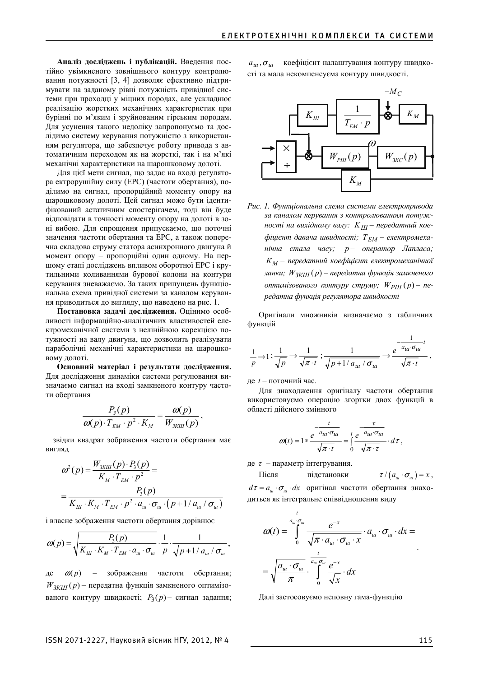Аналіз досліджень і публікацій. Введення постійно увімкненого зовнішнього контуру контролювання потужності [3, 4] дозволяє ефективно підтримувати на заданому рівні потужність привідної системи при проходці у міцних породах, але ускладнює реалізацію жорстких механічних характеристик при бурінні по м'яким і зруйнованим гірським породам. Для усунення такого недоліку запропонуємо та дослідимо систему керування потужністю з використанням регулятора, що забезпечує роботу привода з автоматичним переходом як на жорсткі, так і на м'які механічні характеристики на шарошковому долоті.

Для цієї мети сигнал, що задає на вході регулятора ектрорушійну силу (ЕРС) (частоти обертання), поділимо на сигнал, пропорційний моменту опору на шарошковому долоті. Цей сигнал може бути ідентифікований астатичним спостерігачем, тоді він буде відповідати в точності моменту опору на долоті в зоні вибою. Для спрощення припускаємо, що поточні значення частоти обертання та ЕРС, а також поперечна складова струму статора асинхронного двигуна й момент опору – пропорційні один одному. На першому етапі досліджень впливом оборотної ЕРС і крутильними коливаннями бурової колони на контури керування зневажаємо. За таких припущень функціональна схема привідної системи за каналом керування приводиться до вигляду, що наведено на рис. 1.

Постановка задачі дослідження. Оцінимо особливості інформаційно-аналітичних властивостей електромеханічної системи з нелінійною корекцією потужності на валу двигуна, що дозволить реалізувати параболічні механічні характеристики на шарошковому долоті.

Основний матеріал і результати дослідження. Для дослідження динаміки системи регулювання визначаємо сигнал на вході замкненого контуру частоти обертання

$$
\frac{P_3(p)}{\omega(p) \cdot T_{EM} \cdot p^2 \cdot K_M} = \frac{\omega(p)}{W_{3KIII}(p)},
$$

звідки квадрат зображення частоти обертання має вигляд

$$
\omega^{2}(p) = \frac{W_{3KIII}(p) \cdot P_{3}(p)}{K_{M} \cdot T_{EM} \cdot p^{2}} = \frac{P_{3}(p)}{K_{III} \cdot K_{M} \cdot T_{EM} \cdot p^{2} \cdot a_{u} \cdot \sigma_{u} \cdot (p + 1 / a_{u} / \sigma_{u})}
$$

і власне зображення частоти обертання дорівнює

$$
\omega(p) = \sqrt{\frac{P_3(p)}{K_{\mu\mu} \cdot K_M \cdot T_{\mu\mu} \cdot \sigma_{u\mu} \cdot \sigma_{u\mu} \cdot p} \cdot \frac{1}{p} \cdot \frac{1}{\sqrt{p+1/a_{u}/\sigma_{u\mu}}},
$$

 $\alpha(p)$  – зображення частоти обертання;  $W_{3KIII}(p)$  – передатна функція замкненого оптимізованого контуру швидкості;  $P_3(p)$  – сигнал задання;

 $a_{u}$ ,  $\sigma_{u}$  – коефіцієнт налаштування контуру швидкості та мала некомпенсуєма контуру швидкості.



Рис. 1. Функціональна схема системи електропривода за каналом керування з контролюванням потуж*ності на вихідному валу: К<sub>III</sub> – передатний кое-* $\phi$ іцієнт давача швидкості;  $T_{EM}$  — електромеха- $Hi$ часу; *р* – оператор Лапласа; *К*<sub>М</sub> – передатний коефіцієнт електромеханічної данки;  $W_{3KIII}(p)$  – передатна функція замкненого  $i$ *итимізованого контуру струму;*  $W_{PIII}(p) - ne$  $pe\delta$ атна функиія регулятора швидкості

Оригінали множників визначаємо з табличних функцій

$$
\frac{1}{p} \to 1; \frac{1}{\sqrt{p}} \to \frac{1}{\sqrt{\pi \cdot t}}; \frac{1}{\sqrt{p+1/a_{u1}}/\sigma_{u1}} \to \frac{e^{-\frac{1}{a_{u1}}\sigma_{u1}}t}{\sqrt{\pi \cdot t}},
$$

 $\mu$ е  $t$  – поточний час.

Для знахолження оригіналу частоти обертання використовуємо операцію згортки двох функцій в області дійсного змінного

$$
\omega(t) = 1 * \frac{e^{-\frac{t}{a_{uu}\sigma_{uu}}}}{\sqrt{\pi \cdot t}} = \int_{0}^{t} \frac{e^{-\frac{\tau}{a_{uu}\sigma_{uu}}}}{\sqrt{\pi \cdot \tau}} \cdot d\tau,
$$

де  $\tau$  – параметр інтегрування.

 $\text{Після}$  підстановки  $\tau/(a_{\mu} \cdot \sigma_{\mu}) = x,$ 

1

 $d\tau = a_{\mu\nu} \cdot \sigma_{\mu\nu} \cdot dx$  оригінал частоти обертання знаходиться як інтегральне співвідношення виду

$$
\omega(t) = \int_0^{\frac{t}{a_{ui}\sigma_{ui}}} \frac{e^{-x}}{\sqrt{\pi \cdot a_{ui} \cdot \sigma_{ui} \cdot x}} \cdot a_{ui} \cdot \sigma_{ui} \cdot dx =
$$

$$
= \sqrt{\frac{a_{ui} \cdot \sigma_{ui}}{\pi} \cdot \int_0^{\frac{t}{a_{ui}\sigma_{ui}}} \frac{e^{-x}}{\sqrt{x}} \cdot dx}
$$

Далі застосовуємо неповну гама-функцію

.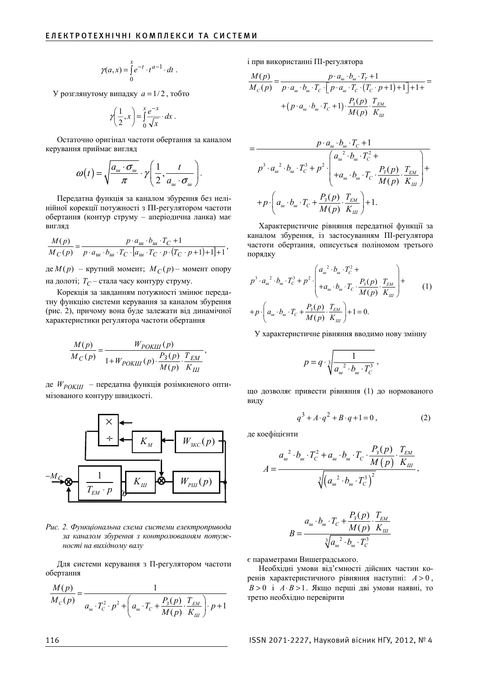$$
\gamma(a,x) = \int_{0}^{x} e^{-t} \cdot t^{a-1} \cdot dt
$$

У розглянутому випадку  $a = 1/2$ , тобто

$$
\gamma\left(\frac{1}{2},x\right) = \int_{0}^{x} \frac{e^{-x}}{\sqrt{x}} \cdot dx.
$$

Остаточно оригінал частоти обертання за каналом керування приймає вигляд

$$
\omega(t) = \sqrt{\frac{a_{u} \cdot \sigma_{u}}{\pi}} \cdot \gamma \left(\frac{1}{2}, \frac{t}{a_{u} \cdot \sigma_{u}}\right).
$$

Передатна функція за каналом збурення без нелінійної корекції потужності з ПІ-регулятором частоти обертання (контур струму – аперіодична ланка) має вигляд

$$
\frac{M(p)}{M_C(p)} = \frac{p \cdot a_u \cdot b_u \cdot T_C + 1}{p \cdot a_u \cdot b_u \cdot T_C \cdot [a_u \cdot T_C \cdot p \cdot (T_C \cdot p + 1) + 1] + 1},
$$

 $\text{Re } M(p)$  – крутний момент;  $M_C(p)$  – момент опору на долоті;  $T_{\text{C}}$  – стала часу контуру струму.

Корекція за завданням потужності змінює передатну функцію системи керування за каналом збурення (рис. 2), причому вона буде залежати від динамічної характеристики регулятора частоти обертання

$$
\frac{M(p)}{M_C(p)} = \frac{W_{POKIII}(p)}{1 + W_{POKIII}(p) \cdot \frac{P_3(p)}{M(p)} \cdot \frac{T_{EM}}{K_{III}}},
$$

де *W<sub>POKIII</sub>* – передатна функція розімкненого оптимізованого контуру швидкості.



Рис. 2. Функціональна схема системи електропривода за каналом збурення з контролюванням потужності на вихідному валу

Для системи керування з П-регулятором частоти обертання

$$
\frac{M(p)}{M_C(p)} = \frac{1}{a_w \cdot T_C^2 \cdot p^2 + \left(a_w \cdot T_C + \frac{P_3(p)}{M(p)} \cdot \frac{T_{EM}}{K_{III}}\right) \cdot p + 1}
$$

і при використанні ПІ-регулятора

( ) ( ) ( ) 1 ( ) 111 ( ) <sup>1</sup> ( ) *ɲ ɲ T C ɲɲɋ ɲɋ ɋ Ɂ ȿɆ ɲɲɋ ɒ M p pa b T M p pa b T pa T T p P p <sup>Ɍ</sup> pa b T <sup>Ɇ</sup> <sup>p</sup> <sup>Ʉ</sup>* ⋅⋅⋅+ = = ⋅ ⋅ ⋅ ⋅ ⋅ ⋅ ⋅ ⋅ + + ++ ª º ¬ ¼ + ⋅ ⋅ ⋅ +⋅ ⋅

$$
= \frac{p \cdot a_{u} \cdot b_{u} \cdot T_{C} + 1}{p^{3} \cdot a_{u}^{2} \cdot b_{u} \cdot T_{C}^{3} + p^{2} \cdot \begin{pmatrix} a_{u}^{2} \cdot b_{u} \cdot T_{C}^{2} + \\ + a_{u} \cdot b_{u} \cdot T_{C} \cdot \frac{P_{3}(p)}{M(p)} \cdot \frac{T_{EM}}{K_{III}} \end{pmatrix} +
$$

$$
+ p \cdot \left( a_{u} \cdot b_{u} \cdot T_{C} + \frac{P_{3}(p)}{M(p)} \cdot \frac{T_{EM}}{K_{III}} \right) + 1.
$$

Характеристичне рівняння передатної функції за каналом збурення, із застосуванням ПІ-регулятора частоти обертання, описується поліномом третього порядку

$$
p^{3} \cdot a_{u}^{2} \cdot b_{u} \cdot T_{C}^{3} + p^{2} \cdot \begin{pmatrix} a_{u}^{2} \cdot b_{u} \cdot T_{C}^{2} + \\ + a_{u} \cdot b_{u} \cdot T_{C} \cdot \frac{P_{3}(p)}{M(p)} \cdot \frac{T_{EM}}{K_{III}} \end{pmatrix} + \\ + p \cdot \left( a_{u} \cdot b_{u} \cdot T_{C} + \frac{P_{3}(p)}{M(p)} \cdot \frac{T_{EM}}{K_{III}} \right) + 1 = 0.
$$
 (1)

У характеристичне рівняння вводимо нову змінну

$$
p = q \cdot \sqrt[3]{\frac{1}{a_{\scriptscriptstyle u \scriptscriptstyle u}^2 \cdot b_{\scriptscriptstyle u \scriptscriptstyle v} \cdot T_c^3}} \,,
$$

що дозволяє привести рівняння (1) до нормованого виду

$$
q^3 + A \cdot q^2 + B \cdot q + 1 = 0, \tag{2}
$$

де коефіцієнти

$$
A = \frac{a_{u}^{2} \cdot b_{u} \cdot T_{C}^{2} + a_{u} \cdot b_{u} \cdot T_{C} \cdot \frac{P_{3}(p)}{M(p)} \cdot \frac{T_{EM}}{K_{III}}}{\sqrt[3]{(a_{u}^{2} \cdot b_{u} \cdot T_{C}^{3})^{2}}},
$$

$$
B = \frac{a_{u} \cdot b_{u} \cdot T_{C} + \frac{P_{3}(p)}{M(p)} \cdot \frac{T_{EM}}{K_{III}}}{\sqrt[3]{a_{u}^{2} \cdot b_{u} \cdot T_{C}^{3}}}
$$

€ параметрами Вишеградського.

Необхілні умови віл'ємності лійсних частин коренів характеристичного рівняння наступні:  $A > 0$ ,  $B > 0$  **i**  $A \cdot B > 1$ . Якщо перші дві умови наявні, то третю необхідно перевірити

116 ISSN 2071-2227, Науковий вісник НГУ, 2012, № 4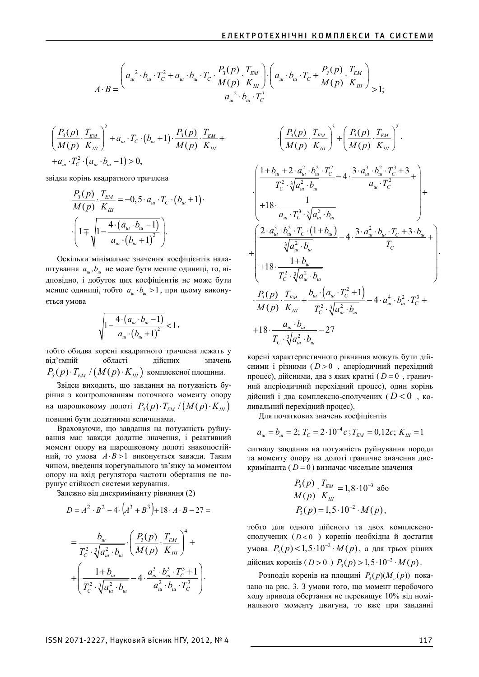$$
A \cdot B = \frac{\left(a_{u}^{2} \cdot b_{u} \cdot T_{C}^{2} + a_{u} \cdot b_{u} \cdot T_{C} \cdot \frac{P_{3}(p)}{M(p)} \cdot \frac{T_{EM}}{K_{III}}\right) \cdot \left(a_{u} \cdot b_{u} \cdot T_{C} + \frac{P_{3}(p)}{M(p)} \cdot \frac{T_{EM}}{K_{III}}\right)}{a_{u}^{2} \cdot b_{u} \cdot T_{C}^{3}} > 1;
$$

$$
\left(\frac{P_3(p)}{M(p)} \cdot \frac{T_{EM}}{K_{III}}\right)^2 + a_w \cdot T_C \cdot (b_w + 1) \cdot \frac{P_3(p)}{M(p)} \cdot \frac{T_{EM}}{K_{III}} + a_w \cdot T_C^2 \cdot (a_w \cdot b_w - 1) > 0,
$$

звідки корінь квадратного тричлена

$$
\frac{P_3(p)}{M(p)} \cdot \frac{T_{EM}}{K_{III}} = -0, 5 \cdot a_w \cdot T_C \cdot (b_w + 1) \cdot \frac{(1 + \sqrt{1 - \frac{4 \cdot (a_w \cdot b_w - 1)}{a_w \cdot (b_w + 1)^2}})}.
$$

Оскільки мінімальне значення коефіцієнтів налаштування  $a_{\mu}$ ,  $b_{\mu}$  не може бути менше одиниці, то, відповідно, і добуток цих коефіцієнтів не може бути менше одиниці, тобто  $a_w \cdot b_w > 1$ , при цьому виконується умова

$$
\sqrt{1 - \frac{4 \cdot (a_{u\cdot} \cdot b_{u\cdot} - 1)}{a_{u\cdot} (b_{u\cdot} + 1)^2}} < 1
$$

тобто обидва корені квадратного тричлена лежать у від'ємній області дійсних значень  $P_3(p) \cdot T_{EM}$  /  $(M(p) \cdot K_{III})$  комплексної площини.

Звідси виходить, що завдання на потужність буріння з контролюванням поточного моменту опору на шарошковому долоті  $P_3(p) \cdot T_{EM} / (M(p) \cdot K_{III})$ повинні бути додатними величинами.

Враховуючи, що завдання на потужність руйнування має завжли лолатне значення, і реактивний момент опору на шарошковому долоті знакопостійний, то умова *A*⋅ *B* >1 виконується завжди. Таким чином, введення корегувального зв'язку за моментом опору на вхід регулятора частоти обертання не порушує стійкості системи керування.

Залежно від дискримінанту рівняння (2)

$$
D = A^{2} \cdot B^{2} - 4 \cdot (A^{3} + B^{3}) + 18 \cdot A \cdot B - 27 =
$$
\n
$$
= \frac{b_{u}}{T_{C}^{2} \cdot \sqrt[3]{a_{u}^{2} \cdot b_{u}}} \cdot \left(\frac{P_{3}(p)}{M(p)} \cdot \frac{T_{EM}}{K_{III}}\right)^{4} + \left(\frac{1 + b_{u}}{T_{C}^{2} \cdot \sqrt[3]{a_{u}^{2} \cdot b_{u}}} - 4 \cdot \frac{a_{u}^{3} \cdot b_{u}^{3} \cdot T_{C}^{3} + 1}{a_{u}^{2} \cdot b_{u} \cdot T_{C}^{3}}\right).
$$

$$
\begin{pmatrix}\n\frac{P_3(p)}{M(p)} \cdot \frac{T_{EM}}{K_{III}} \\
\frac{1}{M(p)} \cdot \frac{T_{EM}}{K_{III}}\n\end{pmatrix}^3 + \left(\frac{P_3(p)}{M(p)} \cdot \frac{T_{EM}}{K_{III}}\right)^2.
$$
\n
$$
\begin{pmatrix}\n\frac{1+b_u+2 \cdot a_u^2 \cdot b_u^2 \cdot T_C^2}{T_C^2 \cdot \sqrt[3]{a_u^2 \cdot b_u}} - 4 \cdot \frac{3 \cdot a_u^3 \cdot b_u^2 \cdot T_C^3 + 3}{a_u \cdot T_C^2} + \frac{1}{T_C} \\
+ 18 \cdot \frac{1}{a_u \cdot T_C^3 \cdot \sqrt[3]{a_u^2 \cdot b_u}} \\
\frac{2 \cdot a_u^3 \cdot b_u^2 \cdot T_C \cdot (1+b_u)}{\sqrt[3]{a_u^2 \cdot b_u}} - 4 \cdot \frac{3 \cdot a_u^2 \cdot b_u \cdot T_C + 3 \cdot b_u}{T_C} + \frac{1}{T_C} \\
+ 18 \cdot \frac{1+b_u}{T_C^2 \cdot \sqrt[3]{a_u^2 \cdot b_u}} \\
\frac{P_3(p)}{M(p)} \cdot \frac{T_{EM}}{K_{III}} + \frac{b_u \cdot (a_u \cdot T_C^2 + 1)}{T_C^2 \cdot \sqrt[3]{a_u^2 \cdot b_u}} - 4 \cdot a_u^4 \cdot b_u^2 \cdot T_C^3 + \frac{a_u \cdot b_u}{T_C \cdot \sqrt[3]{a_u^2 \cdot b_u}} - 27
$$

корені характеристичного рівняння можуть бути дійсними і різними (D > 0, аперіодичний перехідний процес), дійсними, два з яких кратні ( $D = 0$ , граничний аперіодичний перехідний процес), один корінь дійсний і два комплексно-сполучених ( $D < 0$ , коливальний перехідний процес).

Для початкових значень коефіцієнтів

$$
a_{\mu} = b_{\mu} = 2; T_C = 2 \cdot 10^{-4} c; T_{EM} = 0, 12c; K_{III} = 1
$$

сигналу завдання на потужність руйнування породи та моменту опору на долоті граничне значення дискримінанта ( *D* = 0 ) визначає чисельне значення

$$
\frac{P_3(p)}{M(p)} \cdot \frac{T_{EM}}{K_{III}} = 1,8 \cdot 10^{-3} \text{ a}60
$$

$$
P_3(p) = 1,5 \cdot 10^{-2} \cdot M(p),
$$

тобто для одного дійсного та двох комплексносполучених (D<0) коренів необхідна й достатня умова  $P_3(p)$ <1,5⋅10<sup>-2</sup>⋅ $M(p)$ , а для трьох різних дійсних коренів ( $D > 0$ )  $P_3(p) > 1, 5 \cdot 10^{-2} \cdot M(p)$ .

Pозподіл коренів на площині  $P_3(p)(M_c(p))$  показано на рис. 3. З умови того, що момент неробочого ходу привода обертання не перевищує 10% від номінального моменту двигуна, то вже при завданні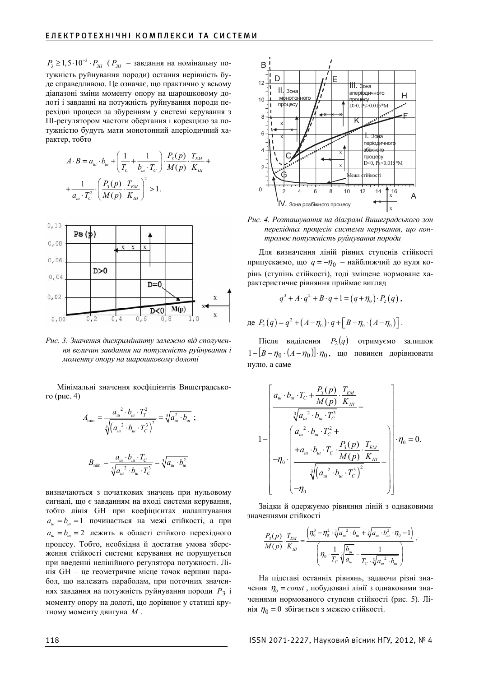$P_3 \geq 1, 5 \cdot 10^{-3} \cdot P_{3H}$  ( $P_{3H}$  – завдання на номінальну потужність руйнування породи) остання нерівність буде справедливою. Це означає, що практично у всьому діапазоні зміни моменту опору на шарошковому долоті і завданні на потужність руйнування породи перехідні процеси за збуренням у системі керування з ПІ-регулятором частоти обертання і корекцією за потужністю будуть мати монотонний аперіодичний характер, тобто

$$
A \cdot B = a_{u} \cdot b_{u} + \left(\frac{1}{T_{C}} + \frac{1}{b_{u} \cdot T_{C}}\right) \cdot \frac{P_{3}(p)}{M(p)} \cdot \frac{T_{EM}}{K_{III}} + \frac{1}{a_{u} \cdot T_{C}^{2}} \cdot \left(\frac{P_{3}(p)}{M(p)} \cdot \frac{T_{EM}}{K_{III}}\right)^{2} > 1.
$$



Рис. 3. Значення дискримінанту залежно від сполучення величин завдання на потужність руйнування і моменту опору на шарошковому долоті

Мінімальні значення коефіцієнтів Вишеградського (рис. 4)

$$
A_{\min} = \frac{a_{\mu}^2 \cdot b_{\mu} \cdot T_T^2}{\sqrt[3]{(a_{\mu}^2 \cdot b_{\mu} \cdot T_C^3)^2}} = \sqrt[3]{a_{\mu}^2 \cdot b_{\mu}}
$$
\n
$$
B_{\min} = \frac{a_{\mu} \cdot b_{\mu} \cdot T_C}{\sqrt[3]{a_{\mu}^2 \cdot b_{\mu} \cdot T_C^3}} = \sqrt[3]{a_{\mu} \cdot b_{\mu}^2}
$$

визначаються з початкових значень при нульовому сигналі, що є завданням на вході системи керування, тобто лінія GH при коефіцієнтах налаштування  $a<sub>w</sub> = b<sub>w</sub> = 1$  починається на межі стійкості, а при  $a<sub>w</sub> = b<sub>w</sub> = 2$  лежить в області стійкого перехідного процесу. Тобто, необхідна й достатня умова збереження стійкості системи керування не порушується при введенні нелінійного регулятора потужності. Лінія GH – це геометричне місце точок вершин парабол, що належать параболам, при поточних значеннях завдання на потужність руйнування породи  $P_3$  і моменту опору на долоті, що дорівнює у статиці крутному моменту двигуна  $M$ .



Рис. 4. Розташування на діаграмі Вишеградського зон перехідних процесів системи керування, що контролює потужність руйнування породи

Для визначення ліній рівних ступенів стійкості припускаємо, що *q* = −η<sub>0</sub> – найближчий до нуля корінь (ступінь стійкості), тоді зміщене нормоване характеристичне рівняння приймає вигляд

$$
q^3 + A \cdot q^2 + B \cdot q + 1 = (q + \eta_0) \cdot P_2(q) ,
$$

$$
\text{Re } P_2(q) = q^2 + (A - \eta_0) \cdot q + \left[ B - \eta_0 \cdot (A - \eta_0) \right].
$$

 $\text{Hictr}$ я виділення  $P_2(q)$  отримуємо залишок  $[1 - [B - \eta_0 \cdot (A - \eta_0)] \cdot \eta_0$ , що повинен дорівнювати нулю, а саме

$$
1 - \begin{bmatrix} a_{u} \cdot b_{u} \cdot T_{C} + \frac{P_{3}(p)}{M(p)} \cdot \frac{T_{EM}}{K_{III}} \\ \frac{\sqrt[3]{a_{u}}^{2} \cdot b_{u} \cdot T_{C}^{3}}{\sqrt[3]{a_{u}}^{2} \cdot b_{u} \cdot T_{C}^{2}} + \\ -\eta_{0} \cdot \begin{bmatrix} a_{u}^{2} \cdot b_{u} \cdot T_{C}^{2} + \\ +a_{u} \cdot b_{u} \cdot T_{C} \cdot \frac{P_{3}(p)}{M(p)} \cdot \frac{T_{EM}}{K_{III}} \\ \frac{\sqrt[3]{(a_{u}^{2} \cdot b_{u} \cdot T_{C}^{3})^{2}}}{\sqrt[3]{(a_{u}^{2} \cdot b_{u} \cdot T_{C}^{3})^{2}}} \end{bmatrix} \cdot \eta_{0} = 0.
$$

Звідки й одержуємо рівняння ліній з однаковими значеннями стійкості

$$
\frac{P_3(p)}{M(p)} \cdot \frac{T_{EM}}{K_{III}} = \frac{\left(\eta_0^3 - \eta_0^2 \cdot \sqrt[3]{a_{u_u}^2 \cdot b_{u_u} + \sqrt[3]{a_{u_u} \cdot b_{u_u}^2} \cdot \eta_0} - 1\right)}{\left(\eta_0 \cdot \frac{1}{T_C} \sqrt[3]{\frac{b_{u_u}}{a_{u_u}} - \frac{1}{T_C \cdot \sqrt[3]{a_{u_u}^2 \cdot b_{u_u}}}}\right)}.
$$

На підставі останніх рівнянь, задаючи різні значення  $\eta_0 = const$ , побудовані лінії з однаковими значеннями нормованого ступеня стійкості (рис. 5). Лінія  $\eta_0 = 0$  збігається з межею стійкості.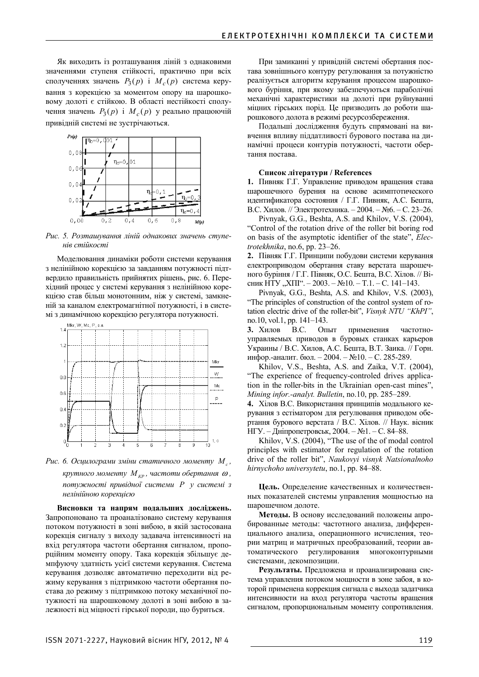Як виходить із розташування ліній з однаковими значеннями ступеня стійкості, практично при всіх сполученнях значень  $P_3(p)$  *i*  $M_c(p)$  система керування з корекцією за моментом опору на шарошковому долоті є стійкою. В області нестійкості сполучення значень  $P_3(p)$  *i*  $M_c(p)$  у реально працюючій привідній системі не зустрічаються.



Рис. 5. Розташування ліній однакових значень ступе**нів** стійкості

Моделювання динаміки роботи системи керування з нелінійною корекцією за завданням потужності підтвердило правильність прийнятих рішень, рис. 6. Перехідний процес у системі керування з нелінійною корекцією став більш монотонним, ніж у системі, замкненій за каналом електромагнітної потужності, і в системі з динамічною корекцією регулятора потужності.



*Puc. 6. Осцилограми зміни статичного моменту М<sub>с</sub>, κрутного моменту М*<sub>*κ*Ρ</sub>, частоти обертання ω, *потужності привідної системи Р у системі з* нелінійною корекиією

Висновки та напрям подальших досліджень. Запропоновано та проаналізовано систему керування потоком потужності в зоні вибою, в якій застосована корекція сигналу з виходу задавача інтенсивності на вхід регулятора частоти обертання сигналом, пропорційним моменту опору. Така корекція збільшує демпфуючу здатність усієї системи керування. Система керування дозволяє автоматично переходити від режиму керування з підтримкою частоти обертання постава до режиму з підтримкою потоку механічної потужності на шарошковому долоті в зоні вибою в залежності від міцності гірської породи, що буриться.

При замиканні у привідній системі обертання постава зовнішнього контуру регулювання за потужністю реалізується алгоритм керування процесом шарошкового буріння, при якому забезпечуються параболічні механічні характеристики на долоті при руйнуванні міцних гірських порід. Це призводить до роботи шарошкового долота в режимі ресурсозбереження.

Подальші дослідження будуть спрямовані на вивчення впливу піддатливості бурового постава на динамічні процеси контурів потужності, частоти обертання постава.

## **ɋɩɢɫɨɤ ɥɿɬɟɪɚɬɭɪɢ / References**

1. Пивняк Г.Г. Управление приводом вращения става шарошечного бурения на основе асимптотического идентификатора состояния / Г.Г. Пивняк, А.С. Бешта, В.С. Хилов. // Электротехника. – 2004. – №6. – С. 23–26.

Pivnyak, G.G., Beshta, A.S. and Khilov, V.S. (2004), "Control of the rotation drive of the roller bit boring rod on basis of the asymptotic identifier of the state", *Electrotekhnika*, no.6, pp. 23–26.

2. Півняк Г.Г. Принципи побудови системи керування електроприводом обертання ставу верстата шарошечного буріння / Г.Г. Півняк, О.С. Бешта, В.С. Хілов. // Вісник НТУ "XIII". – 2003. – №10. – Т.1. – С. 141–143.

Pivnyak, G.G., Beshta, A.S. and Khilov, V.S. (2003), "The principles of construction of the control system of rotation electric drive of the roller-bit", *Visnyk NTU "KhPI"*, no.10, vol.1, pp. 141–143.

3. Хилов В.С. Опыт применения частотноуправляемых приводов в буровых станках карьеров Украины / В.С. Хилов, А.С. Бешта, В.Т. Заика. // Горн. инфор.-аналит. бюл. - 2004. - №10. - С. 285-289.

Khilov, V.S., Beshta, A.S. and Zaika, V.T. (2004), "The experience of frequency-controled drives application in the roller-bits in the Ukrainian open-cast mines", *Mining infor.-analyt. Bulletin*, no.10, pp. 285–289.

4. Хілов В.С. Використання принципів модального керування з естіматором для регулювання приводом обертання бурового верстата / В.С. Хілов. // Наук. вісник НГУ. – Дніпропетровськ, 2004. – №1. – С. 84–88.

Khilov, V.S. (2004), "The use of the of modal control principles with estimator for regulation of the rotation drive of the roller bit", *Naukovyi visnyk Natsionalnoho hirnychoho universytetu*, no.1, pp. 84–88.

Цель. Определение качественных и количественных показателей системы управления мощностью на шарошечном долоте.

Методы. В основу исследований положены апробированные методы: частотного анализа, дифференциального анализа, операционного исчисления, теории матриц и матричных преобразований, теории автоматического регулирования многоконтурными системами, декомпозиции.

Результаты. Предложена и проанализирована система управления потоком мощности в зоне забоя, в которой применена коррекция сигнала с выхода задатчика интенсивности на вход регулятора частоты вращения сигналом, пропорциональным моменту сопротивления.